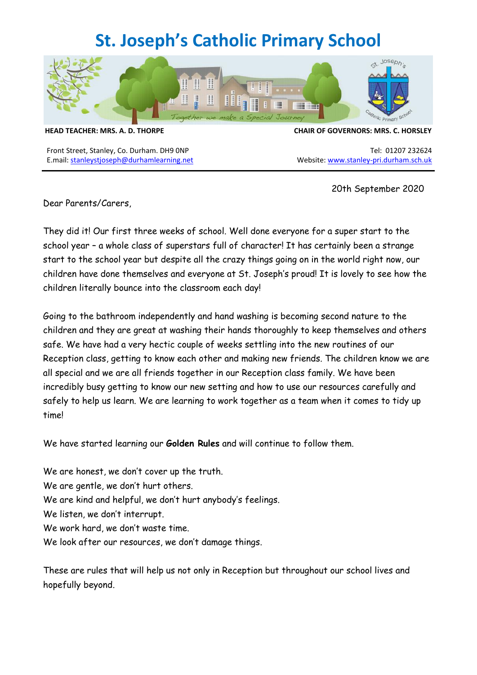# **St. Joseph's Catholic Primary School**



Front Street, Stanley, Co. Durham. DH9 0NP Tel: 01207 232624 E.mail: [stanleystjoseph@durhamlearning.net](mailto:stanleystjoseph@durhamlearning.net) Website: [www.stanley-pri.durham.sch.uk](http://www.stanley-pri.durham.sch.uk/)

#### **HEAD TEACHER: MRS. A. D. THORPE CHAIR OF GOVERNORS: MRS. C. HORSLEY**

20th September 2020

Dear Parents/Carers,

They did it! Our first three weeks of school. Well done everyone for a super start to the school year - a whole class of superstars full of character! It has certainly been a strange start to the school year but despite all the crazy things going on in the world right now, our children have done themselves and everyone at St. Joseph's proud! It is lovely to see how the children literally bounce into the classroom each day!

Going to the bathroom independently and hand washing is becoming second nature to the children and they are great at washing their hands thoroughly to keep themselves and others safe. We have had a very hectic couple of weeks settling into the new routines of our Reception class, getting to know each other and making new friends. The children know we are all special and we are all friends together in our Reception class family. We have been incredibly busy getting to know our new setting and how to use our resources carefully and safely to help us learn. We are learning to work together as a team when it comes to tidy up time!

We have started learning our **Golden Rules** and will continue to follow them.

We are honest, we don't cover up the truth. We are gentle, we don't hurt others. We are kind and helpful, we don't hurt anybody's feelings. We listen, we don't interrupt. We work hard, we don't waste time. We look after our resources, we don't damage things.

These are rules that will help us not only in Reception but throughout our school lives and hopefully beyond.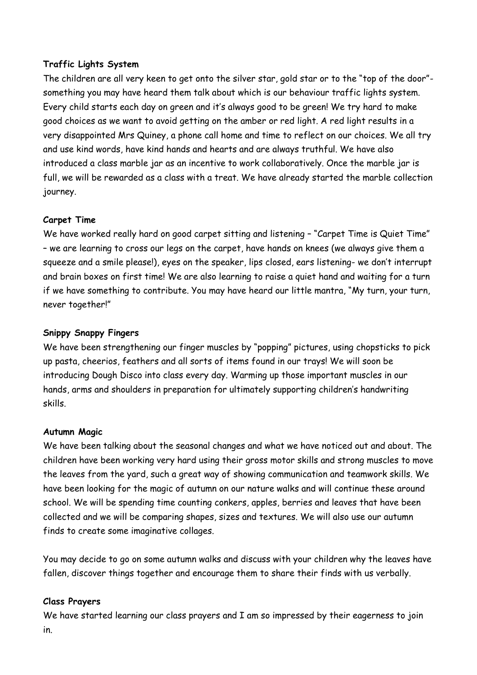## **Traffic Lights System**

The children are all very keen to get onto the silver star, gold star or to the "top of the door" something you may have heard them talk about which is our behaviour traffic lights system. Every child starts each day on green and it's always good to be green! We try hard to make good choices as we want to avoid getting on the amber or red light. A red light results in a very disappointed Mrs Quiney, a phone call home and time to reflect on our choices. We all try and use kind words, have kind hands and hearts and are always truthful. We have also introduced a class marble jar as an incentive to work collaboratively. Once the marble jar is full, we will be rewarded as a class with a treat. We have already started the marble collection journey.

## **Carpet Time**

We have worked really hard on good carpet sitting and listening – "Carpet Time is Quiet Time" – we are learning to cross our legs on the carpet, have hands on knees (we always give them a squeeze and a smile please!), eyes on the speaker, lips closed, ears listening- we don't interrupt and brain boxes on first time! We are also learning to raise a quiet hand and waiting for a turn if we have something to contribute. You may have heard our little mantra, "My turn, your turn, never together!"

## **Snippy Snappy Fingers**

We have been strengthening our finger muscles by "popping" pictures, using chopsticks to pick up pasta, cheerios, feathers and all sorts of items found in our trays! We will soon be introducing Dough Disco into class every day. Warming up those important muscles in our hands, arms and shoulders in preparation for ultimately supporting children's handwriting skills.

## **Autumn Magic**

We have been talking about the seasonal changes and what we have noticed out and about. The children have been working very hard using their gross motor skills and strong muscles to move the leaves from the yard, such a great way of showing communication and teamwork skills. We have been looking for the magic of autumn on our nature walks and will continue these around school. We will be spending time counting conkers, apples, berries and leaves that have been collected and we will be comparing shapes, sizes and textures. We will also use our autumn finds to create some imaginative collages.

You may decide to go on some autumn walks and discuss with your children why the leaves have fallen, discover things together and encourage them to share their finds with us verbally.

## **Class Prayers**

We have started learning our class prayers and I am so impressed by their eagerness to join in.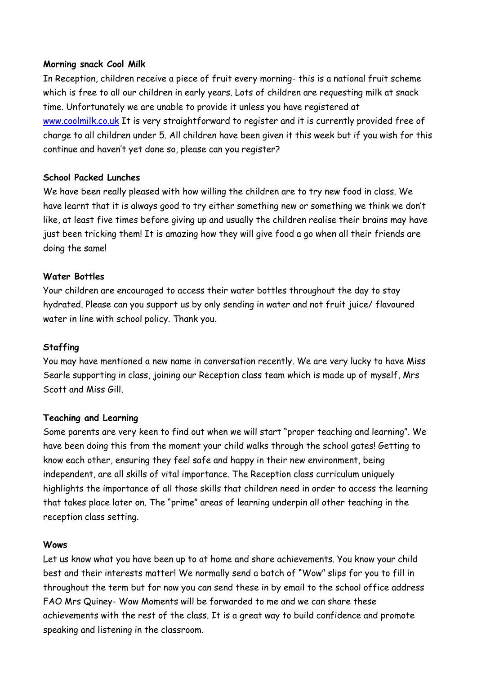### **Morning snack Cool Milk**

In Reception, children receive a piece of fruit every morning- this is a national fruit scheme which is free to all our children in early years. Lots of children are requesting milk at snack time. Unfortunately we are unable to provide it unless you have registered at [www.coolmilk.co.uk](http://www.coolmilk.co.uk/) It is very straightforward to register and it is currently provided free of charge to all children under 5. All children have been given it this week but if you wish for this continue and haven't yet done so, please can you register?

### **School Packed Lunches**

We have been really pleased with how willing the children are to try new food in class. We have learnt that it is always good to try either something new or something we think we don't like, at least five times before giving up and usually the children realise their brains may have just been tricking them! It is amazing how they will give food a go when all their friends are doing the same!

### **Water Bottles**

Your children are encouraged to access their water bottles throughout the day to stay hydrated. Please can you support us by only sending in water and not fruit juice/ flavoured water in line with school policy. Thank you.

#### **Staffing**

You may have mentioned a new name in conversation recently. We are very lucky to have Miss Searle supporting in class, joining our Reception class team which is made up of myself, Mrs Scott and Miss Gill.

#### **Teaching and Learning**

Some parents are very keen to find out when we will start "proper teaching and learning". We have been doing this from the moment your child walks through the school gates! Getting to know each other, ensuring they feel safe and happy in their new environment, being independent, are all skills of vital importance. The Reception class curriculum uniquely highlights the importance of all those skills that children need in order to access the learning that takes place later on. The "prime" areas of learning underpin all other teaching in the reception class setting.

#### **Wows**

Let us know what you have been up to at home and share achievements. You know your child best and their interests matter! We normally send a batch of "Wow" slips for you to fill in throughout the term but for now you can send these in by email to the school office address FAO Mrs Quiney- Wow Moments will be forwarded to me and we can share these achievements with the rest of the class. It is a great way to build confidence and promote speaking and listening in the classroom.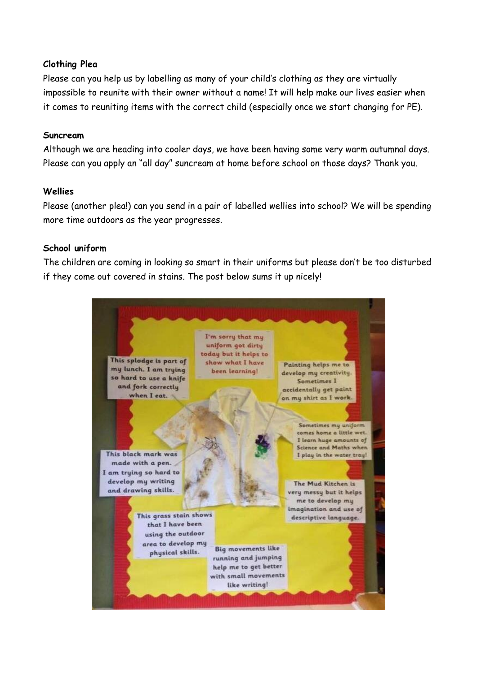## **Clothing Plea**

Please can you help us by labelling as many of your child's clothing as they are virtually impossible to reunite with their owner without a name! It will help make our lives easier when it comes to reuniting items with the correct child (especially once we start changing for PE).

#### **Suncream**

Although we are heading into cooler days, we have been having some very warm autumnal days. Please can you apply an "all day" suncream at home before school on those days? Thank you.

## **Wellies**

Please (another plea!) can you send in a pair of labelled wellies into school? We will be spending more time outdoors as the year progresses.

### **School uniform**

The children are coming in looking so smart in their uniforms but please don't be too disturbed if they come out covered in stains. The post below sums it up nicely!